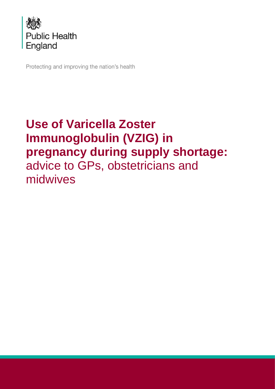

Protecting and improving the nation's health

# **Use of Varicella Zoster Immunoglobulin (VZIG) in pregnancy during supply shortage:** advice to GPs, obstetricians and midwives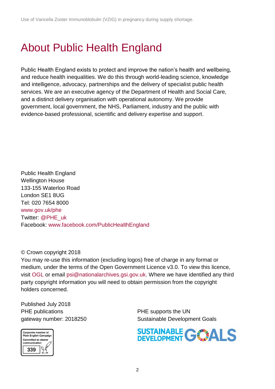# <span id="page-1-0"></span>About Public Health England

Public Health England exists to protect and improve the nation's health and wellbeing, and reduce health inequalities. We do this through world-leading science, knowledge and intelligence, advocacy, partnerships and the delivery of specialist public health services. We are an executive agency of the Department of Health and Social Care, and a distinct delivery organisation with operational autonomy. We provide government, local government, the NHS, Parliament, industry and the public with evidence-based professional, scientific and delivery expertise and support.

Public Health England Wellington House 133-155 Waterloo Road London SE1 8UG Tel: 020 7654 8000 [www.gov.uk/phe](http://www.gov.uk/phe) Twitter: [@PHE\\_uk](https://twitter.com/PHE_uk) Facebook: [www.facebook.com/PublicHealthEngland](http://www.facebook.com/PublicHealthEngland)

#### © Crown copyright 2018

You may re-use this information (excluding logos) free of charge in any format or medium, under the terms of the Open Government Licence v3.0. To view this licence, visit [OGL](https://www.nationalarchives.gov.uk/doc/open-government-licence/version/3/) or email [psi@nationalarchives.gsi.gov.uk.](mailto:psi@nationalarchives.gsi.gov.uk) Where we have identified any third party copyright information you will need to obtain permission from the copyright holders concerned.

Published July 2018 PHE publications **PHE** supports the UN



gateway number: 2018250 Sustainable Development Goals

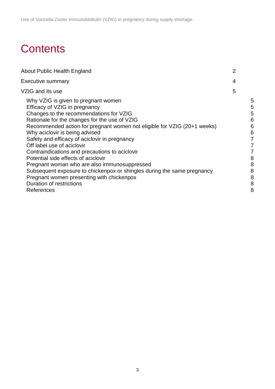# **Contents**

| About Public Health England                                                                                                                                                                                                                                                                                                                                                                                                                                                                                                                                                                                                                                               | $\overline{2}$ |                                                               |
|---------------------------------------------------------------------------------------------------------------------------------------------------------------------------------------------------------------------------------------------------------------------------------------------------------------------------------------------------------------------------------------------------------------------------------------------------------------------------------------------------------------------------------------------------------------------------------------------------------------------------------------------------------------------------|----------------|---------------------------------------------------------------|
| <b>Executive summary</b>                                                                                                                                                                                                                                                                                                                                                                                                                                                                                                                                                                                                                                                  | 4              |                                                               |
| VZIG and its use                                                                                                                                                                                                                                                                                                                                                                                                                                                                                                                                                                                                                                                          | 5              |                                                               |
| Why VZIG is given to pregnant women<br>Efficacy of VZIG in pregnancy<br>Changes to the recommendations for VZIG<br>Rationale for the changes for the use of VZIG<br>Recommended action for: pregnant women not eligible for VZIG (20+1 weeks)<br>Why aciclovir is being advised<br>Safety and efficacy of aciclovir in pregnancy<br>Off label use of aciclovir<br>Contraindications and precautions to aciclovir<br>Potential side effects of aciclovir<br>Pregnant woman who are also immunosuppressed<br>Subsequent exposure to chickenpox or shingles during the same pregnancy<br>Pregnant women presenting with chickenpox<br>Duration of restrictions<br>References |                | 5<br>5<br>5<br>6<br>6<br>6<br>7<br>8<br>8<br>8<br>8<br>8<br>8 |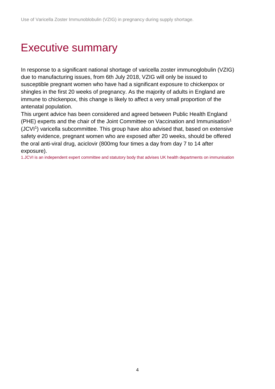# <span id="page-3-0"></span>Executive summary

In response to a significant national shortage of varicella zoster immunoglobulin (VZIG) due to manufacturing issues, from 6th July 2018, VZIG will only be issued to susceptible pregnant women who have had a significant exposure to chickenpox or shingles in the first 20 weeks of pregnancy. As the majority of adults in England are immune to chickenpox, this change is likely to affect a very small proportion of the antenatal population.

This urgent advice has been considered and agreed between Public Health England (PHE) experts and the chair of the Joint Committee on Vaccination and Immunisation<sup>1</sup> (JCVI<sup>1</sup>) varicella subcommittee. This group have also advised that, based on extensive safety evidence, pregnant women who are exposed after 20 weeks, should be offered the oral anti-viral drug, aciclovir (800mg four times a day from day 7 to 14 after exposure).

1.JCVI is an independent expert committee and statutory body that advises UK health departments on immunisation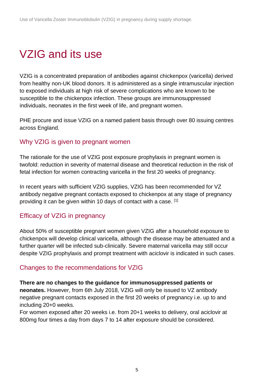# <span id="page-4-0"></span>VZIG and its use

VZIG is a concentrated preparation of antibodies against chickenpox (varicella) derived from healthy non-UK blood donors. It is administered as a single intramuscular injection to exposed individuals at high risk of severe complications who are known to be susceptible to the chickenpox infection. These groups are immunosuppressed individuals, neonates in the first week of life, and pregnant women.

PHE procure and issue VZIG on a named patient basis through over 80 issuing centres across England.

## <span id="page-4-1"></span>Why VZIG is given to pregnant women

The rationale for the use of VZIG post exposure prophylaxis in pregnant women is twofold: reduction in severity of maternal disease and theoretical reduction in the risk of fetal infection for women contracting varicella in the first 20 weeks of pregnancy.

In recent years with sufficient VZIG supplies, VZIG has been recommended for VZ antibody negative pregnant contacts exposed to chickenpox at any stage of pregnancy providing it can be given within 10 days of contact with a case. [1]

# <span id="page-4-2"></span>Efficacy of VZIG in pregnancy

About 50% of susceptible pregnant women given VZIG after a household exposure to chickenpox will develop clinical varicella, although the disease may be attenuated and a further quarter will be infected sub-clinically. Severe maternal varicella may still occur despite VZIG prophylaxis and prompt treatment with aciclovir is indicated in such cases.

# <span id="page-4-3"></span>Changes to the recommendations for VZIG

#### **There are no changes to the guidance for immunosuppressed patients or**

**neonates.** However, from 6th July 2018, VZIG will only be issued to VZ antibody negative pregnant contacts exposed in the first 20 weeks of pregnancy i.e. up to and including 20+0 weeks.

For women exposed after 20 weeks i.e. from 20+1 weeks to delivery, oral aciclovir at 800mg four times a day from days 7 to 14 after exposure should be considered.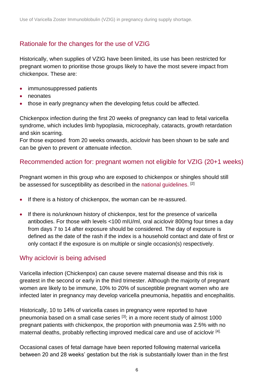# <span id="page-5-0"></span>Rationale for the changes for the use of VZIG

Historically, when supplies of VZIG have been limited, its use has been restricted for pregnant women to prioritise those groups likely to have the most severe impact from chickenpox. These are:

- immunosuppressed patients
- neonates
- those in early pregnancy when the developing fetus could be affected.

Chickenpox infection during the first 20 weeks of pregnancy can lead to fetal varicella syndrome, which includes limb hypoplasia, microcephaly, cataracts, growth retardation and skin scarring.

For those exposed from 20 weeks onwards, aciclovir has been shown to be safe and can be given to prevent or attenuate infection.

# <span id="page-5-1"></span>Recommended action for: pregnant women not eligible for VZIG (20+1 weeks)

Pregnant women in this group who are exposed to chickenpox or shingles should still be assessed for susceptibility as described in the [national guidelines.](https://assets.publishing.service.gov.uk/government/uploads/system/uploads/attachment_data/file/638221/VZIG_Gudiance_Version_7_August_2017__.pdf) [2]

- If there is a history of chickenpox, the woman can be re-assured.
- If there is no/unknown history of chickenpox, test for the presence of varicella antibodies. For those with levels <100 mIU/ml, oral aciclovir 800mg four times a day from days 7 to 14 after exposure should be considered. The day of exposure is defined as the date of the rash if the index is a household contact and date of first or only contact if the exposure is on multiple or single occasion(s) respectively.

# <span id="page-5-2"></span>Why aciclovir is being advised

Varicella infection (Chickenpox) can cause severe maternal disease and this risk is greatest in the second or early in the third trimester. Although the majority of pregnant women are likely to be immune, 10% to 20% of susceptible pregnant women who are infected later in pregnancy may develop varicella pneumonia, hepatitis and encephalitis.

Historically, 10 to 14% of varicella cases in pregnancy were reported to have pneumonia based on a small case series [\[3\]](https://www.gov.uk/government/publications/vaccine-in-pregnancy-advice-for-pregnant-women/chickenpox-and-shingles-vaccines-advice-for-pregnant-women#footnotes); in a more recent study of almost 1000 pregnant patients with chickenpox, the proportion with pneumonia was 2.5% with no maternal deaths, probably reflecting improved medical care and use of aciclovir [\[4\].](https://www.gov.uk/government/publications/vaccine-in-pregnancy-advice-for-pregnant-women/chickenpox-and-shingles-vaccines-advice-for-pregnant-women#footnotes)

Occasional cases of fetal damage have been reported following maternal varicella between 20 and 28 weeks' gestation but the risk is substantially lower than in the first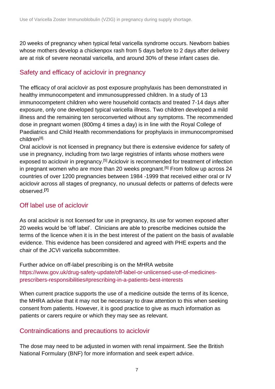20 weeks of pregnancy when typical fetal varicella syndrome occurs. Newborn babies whose mothers develop a chickenpox rash from 5 days before to 2 days after delivery are at risk of severe neonatal varicella, and around 30% of these infant cases die.

# <span id="page-6-0"></span>Safety and efficacy of aciclovir in pregnancy

The efficacy of oral aciclovir as post exposure prophylaxis has been demonstrated in healthy immunocompetent and immunosuppressed children. In a study of 13 immunocompetent children who were household contacts and treated 7-14 days after exposure, only one developed typical varicella illness. Two children developed a mild illness and the remaining ten seroconverted without any symptoms. The recommended dose in pregnant women (800mg 4 times a day) is in line with the Royal College of Paediatrics and Child Health recommendations for prophylaxis in immunocompromised children[8].

Oral aciclovir is not licensed in pregnancy but there is extensive evidence for safety of use in pregnancy, including from two large registries of infants whose mothers were exposed to aciclovir in pregnancy.<sup>[5]</sup> Aciclovir is recommended for treatment of infection in pregnant women who are more than 20 weeks pregnant.<sup>[6]</sup> From follow up across 24 countries of over 1200 pregnancies between 1984 -1999 that received either oral or IV aciclovir across all stages of pregnancy, no unusual defects or patterns of defects were observed.**[7]**

# <span id="page-6-1"></span>Off label use of aciclovir

As oral aciclovir is not licensed for use in pregnancy, its use for women exposed after 20 weeks would be 'off label'. Clinicians are able to prescribe medicines outside the terms of the licence when it is in the best interest of the patient on the basis of available evidence. This evidence has been considered and agreed with PHE experts and the chair of the JCVI varicella subcommittee.

Further advice on off-label prescribing is on the MHRA website [https://www.gov.uk/drug-safety-update/off-label-or-unlicensed-use-of-medicines](https://www.gov.uk/drug-safety-update/off-label-or-unlicensed-use-of-medicines-prescribers-responsibilities#prescribing-in-a-patients-best-interests)[prescribers-responsibilities#prescribing-in-a-patients-best-interests](https://www.gov.uk/drug-safety-update/off-label-or-unlicensed-use-of-medicines-prescribers-responsibilities#prescribing-in-a-patients-best-interests)

When current practice supports the use of a medicine outside the terms of its licence, the MHRA advise that it may not be necessary to draw attention to this when seeking consent from patients. However, it is good practice to give as much information as patients or carers require or which they may see as relevant.

# <span id="page-6-2"></span>Contraindications and precautions to aciclovir

The dose may need to be adjusted in women with renal impairment. See the British National Formulary (BNF) for more information and seek expert advice.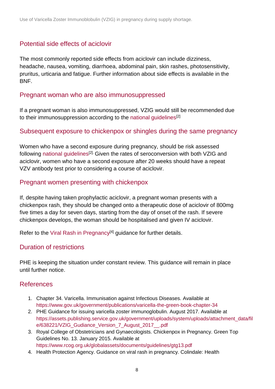# <span id="page-7-0"></span>Potential side effects of aciclovir

The most commonly reported side effects from aciclovir can include dizziness, headache, nausea, vomiting, diarrhoea, abdominal pain, skin rashes, photosensitivity, pruritus, urticaria and fatigue. Further information about side effects is available in the BNF.

### <span id="page-7-1"></span>Pregnant woman who are also immunosuppressed

If a pregnant woman is also immunosuppressed, VZIG would still be recommended due to their immunosuppression according to the [national guidelines](https://www.gov.uk/government/uploads/system/uploads/attachment_data/file/327762/Chickenpox_immunoglobulin_Oct_2008.pdf)<sup>[2]</sup>

## <span id="page-7-2"></span>Subsequent exposure to chickenpox or shingles during the same pregnancy

Women who have a second exposure during pregnancy, should be risk assessed following [national guidelines](https://www.gov.uk/government/uploads/system/uploads/attachment_data/file/327762/Chickenpox_immunoglobulin_Oct_2008.pdf)<sup>[2].</sup> Given the rates of seroconversion with both VZIG and aciclovir, women who have a second exposure after 20 weeks should have a repeat VZV antibody test prior to considering a course of aciclovir.

## <span id="page-7-3"></span>Pregnant women presenting with chickenpox

If, despite having taken prophylactic aciclovir, a pregnant woman presents with a chickenpox rash, they should be changed onto a therapeutic dose of aciclovir of 800mg five times a day for seven days, starting from the day of onset of the rash. If severe chickenpox develops, the woman should be hospitalised and given IV aciclovir.

Refer to the [Viral Rash in Pregnancy](https://assets.publishing.service.gov.uk/government/uploads/system/uploads/attachment_data/file/322688/Viral_rash_in_pregnancy_guidance.pdf)<sup>[4]</sup> guidance for further details.

### <span id="page-7-4"></span>Duration of restrictions

PHE is keeping the situation under constant review. This guidance will remain in place until further notice.

### <span id="page-7-5"></span>References

- 1. Chapter 34. Varicella. Immunisation against Infectious Diseases. Available at <https://www.gov.uk/government/publications/varicella-the-green-book-chapter-34>
- 2. PHE Guidance for issuing varicella zoster immunoglobulin. August 2017. Available at [https://assets.publishing.service.gov.uk/government/uploads/system/uploads/attachment\\_data/fil](https://assets.publishing.service.gov.uk/government/uploads/system/uploads/attachment_data/file/638221/VZIG_Gudiance_Version_7_August_2017__.pdf) e/638221/VZIG Gudiance Version 7 August 2017 .pdf
- 3. Royal College of Obstetricians and Gynaecologists. Chickenpox in Pregnancy. Green Top Guidelines No. 13. January 2015. Available at <https://www.rcog.org.uk/globalassets/documents/guidelines/gtg13.pdf>
- 4. Health Protection Agency. Guidance on viral rash in pregnancy. Colindale: Health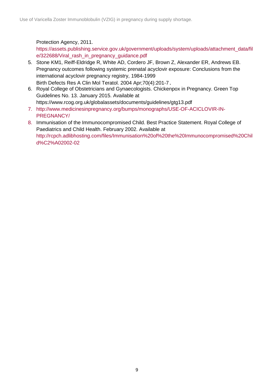#### Protection Agency, 2011.

[https://assets.publishing.service.gov.uk/government/uploads/system/uploads/attachment\\_data/fil](https://assets.publishing.service.gov.uk/government/uploads/system/uploads/attachment_data/file/322688/Viral_rash_in_pregnancy_guidance.pdf) [e/322688/Viral\\_rash\\_in\\_pregnancy\\_guidance.pdf](https://assets.publishing.service.gov.uk/government/uploads/system/uploads/attachment_data/file/322688/Viral_rash_in_pregnancy_guidance.pdf)

- 5. Stone KM1, Reiff-Eldridge R, White AD, Cordero JF, Brown Z, Alexander ER, Andrews EB. Pregnancy outcomes following systemic prenatal acyclovir exposure: Conclusions from the international acyclovir pregnancy registry, 1984-1999 Birth Defects Res A Clin Mol Teratol. 2004 Apr;70(4):201-7.
- 6. Royal College of Obstetricians and Gynaecologists. Chickenpox in Pregnancy. Green Top Guidelines No. 13. January 2015. Available at https://www.rcog.org.uk/globalassets/documents/guidelines/gtg13.pdf
- 7. [http://www.medicinesinpregnancy.org/bumps/monographs/USE-OF-ACICLOVIR-IN-](http://www.medicinesinpregnancy.org/bumps/monographs/USE-OF-ACICLOVIR-IN-PREGNANCY/)[PREGNANCY/](http://www.medicinesinpregnancy.org/bumps/monographs/USE-OF-ACICLOVIR-IN-PREGNANCY/)
- 8. Immunisation of the Immunocompromised Child. Best Practice Statement. Royal College of Paediatrics and Child Health. February 2002. Available at http://rcpch.adlibhosting.com/files/Immunisation%20of%20the%20Immunocompromised%20Chil d%C2%A02002-02